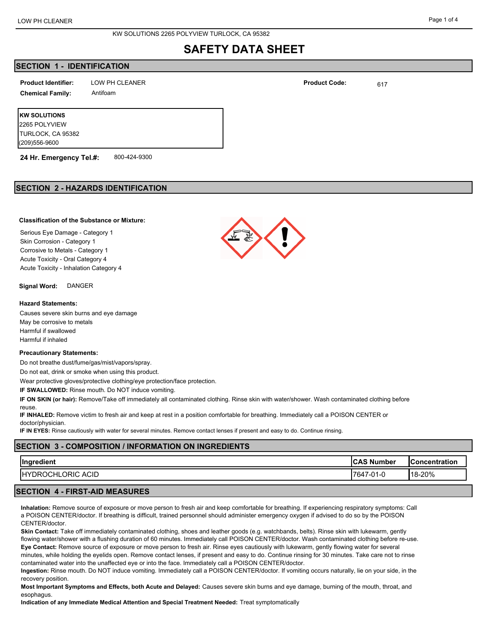## **SECTION 1 - IDENTIFICATION**

**Product Identifier:** LOW PH CLEANER **Product Code:** <sub>617</sub> **Chemical Family:** Antifoam

**KW SOLUTIONS** 2265 POLYVIEW TURLOCK, CA 95382 (209)556-9600

**24 Hr. Emergency Tel.#:** 800-424-9300

## **SECTION 2 - HAZARDS IDENTIFICATION**

## **Classification of the Substance or Mixture:**

Serious Eye Damage - Category 1 Skin Corrosion - Category 1 Corrosive to Metals - Category 1 Acute Toxicity - Oral Category 4 Acute Toxicity - Inhalation Category 4

**Signal Word:** DANGER

### **Hazard Statements:**

Causes severe skin burns and eye damage May be corrosive to metals Harmful if swallowed Harmful if inhaled

### **Precautionary Statements:**

Do not breathe dust/fume/gas/mist/vapors/spray.

Do not eat, drink or smoke when using this product.

Wear protective gloves/protective clothing/eye protection/face protection.

**IF SWALLOWED:** Rinse mouth. Do NOT induce vomiting.

**IF ON SKIN (or hair):** Remove/Take off immediately all contaminated clothing. Rinse skin with water/shower. Wash contaminated clothing before reuse.

**IF INHALED:** Remove victim to fresh air and keep at rest in a position comfortable for breathing. Immediately call a POISON CENTER or doctor/physician.

**IF IN EYES:** Rinse cautiously with water for several minutes. Remove contact lenses if present and easy to do. Continue rinsing.

# **SECTION 3 - COMPOSITION / INFORMATION ON INGREDIENTS Ingredient CAS Number Concentration** HYDROCHLORIC ACID 7647-01-0 18-20%

## **SECTION 4 - FIRST-AID MEASURES**

**Inhalation:** Remove source of exposure or move person to fresh air and keep comfortable for breathing. If experiencing respiratory symptoms: Call a POISON CENTER/doctor. If breathing is difficult, trained personnel should administer emergency oxygen if advised to do so by the POISON CENTER/doctor.

**Skin Contact:** Take off immediately contaminated clothing, shoes and leather goods (e.g. watchbands, belts). Rinse skin with lukewarm, gently flowing water/shower with a flushing duration of 60 minutes. Immediately call POISON CENTER/doctor. Wash contaminated clothing before re-use. **Eye Contact:** Remove source of exposure or move person to fresh air. Rinse eyes cautiously with lukewarm, gently flowing water for several

minutes, while holding the eyelids open. Remove contact lenses, if present and easy to do. Continue rinsing for 30 minutes. Take care not to rinse contaminated water into the unaffected eye or into the face. Immediately call a POISON CENTER/doctor.

**Ingestion:** Rinse mouth. Do NOT induce vomiting. Immediately call a POISON CENTER/doctor. If vomiting occurs naturally, lie on your side, in the recovery position.

**Most Important Symptoms and Effects, both Acute and Delayed:** Causes severe skin burns and eye damage, burning of the mouth, throat, and esophagus.

**Indication of any Immediate Medical Attention and Special Treatment Needed:** Treat symptomatically

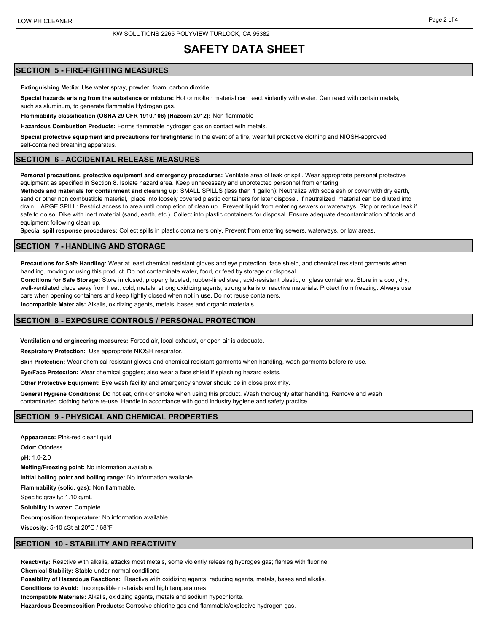## **SECTION 5 - FIRE-FIGHTING MEASURES**

**Extinguishing Media:** Use water spray, powder, foam, carbon dioxide.

**Special hazards arising from the substance or mixture:** Hot or molten material can react violently with water. Can react with certain metals, such as aluminum, to generate flammable Hydrogen gas.

**Flammability classification (OSHA 29 CFR 1910.106) (Hazcom 2012):** Non flammable

**Hazardous Combustion Products:** Forms flammable hydrogen gas on contact with metals.

**Special protective equipment and precautions for firefighters:** In the event of a fire, wear full protective clothing and NIOSH-approved self-contained breathing apparatus.

### **SECTION 6 - ACCIDENTAL RELEASE MEASURES**

**Personal precautions, protective equipment and emergency procedures:** Ventilate area of leak or spill. Wear appropriate personal protective equipment as specified in Section 8. Isolate hazard area. Keep unnecessary and unprotected personnel from entering.

**Methods and materials for containment and cleaning up:** SMALL SPILLS (less than 1 gallon): Neutralize with soda ash or cover with dry earth, sand or other non combustible material, place into loosely covered plastic containers for later disposal. If neutralized, material can be diluted into drain. LARGE SPILL: Restrict access to area until completion of clean up. Prevent liquid from entering sewers or waterways. Stop or reduce leak if safe to do so. Dike with inert material (sand, earth, etc.). Collect into plastic containers for disposal. Ensure adequate decontamination of tools and equipment following clean up.

**Special spill response procedures:** Collect spills in plastic containers only. Prevent from entering sewers, waterways, or low areas.

### **SECTION 7 - HANDLING AND STORAGE**

**Precautions for Safe Handling:** Wear at least chemical resistant gloves and eye protection, face shield, and chemical resistant garments when handling, moving or using this product. Do not contaminate water, food, or feed by storage or disposal.

**Conditions for Safe Storage:** Store in closed, properly labeled, rubber-lined steel, acid-resistant plastic, or glass containers. Store in a cool, dry, well-ventilated place away from heat, cold, metals, strong oxidizing agents, strong alkalis or reactive materials. Protect from freezing. Always use care when opening containers and keep tightly closed when not in use. Do not reuse containers.

**Incompatible Materials:** Alkalis, oxidizing agents, metals, bases and organic materials.

### **SECTION 8 - EXPOSURE CONTROLS / PERSONAL PROTECTION**

**Ventilation and engineering measures:** Forced air, local exhaust, or open air is adequate.

**Respiratory Protection:** Use appropriate NIOSH respirator.

**Skin Protection:** Wear chemical resistant gloves and chemical resistant garments when handling, wash garments before re-use.

**Eye/Face Protection:** Wear chemical goggles; also wear a face shield if splashing hazard exists.

**Other Protective Equipment:** Eye wash facility and emergency shower should be in close proximity.

**General Hygiene Conditions:** Do not eat, drink or smoke when using this product. Wash thoroughly after handling. Remove and wash contaminated clothing before re-use. Handle in accordance with good industry hygiene and safety practice.

### **SECTION 9 - PHYSICAL AND CHEMICAL PROPERTIES**

**Appearance:** Pink-red clear liquid **Odor:** Odorless **pH:** 1.0-2.0 **Melting/Freezing point:** No information available. **Initial boiling point and boiling range:** No information available. **Flammability (solid, gas):** Non flammable. Specific gravity: 1.10 g/mL **Solubility in water:** Complete **Decomposition temperature:** No information available. **Viscosity:** 5-10 cSt at 20ºC / 68ºF

### **SECTION 10 - STABILITY AND REACTIVITY**

**Reactivity:** Reactive with alkalis, attacks most metals, some violently releasing hydroges gas; flames with fluorine.

**Chemical Stability:** Stable under normal conditions

**Possibility of Hazardous Reactions:** Reactive with oxidizing agents, reducing agents, metals, bases and alkalis.

**Conditions to Avoid:** Incompatible materials and high temperatures

**Incompatible Materials:** Alkalis, oxidizing agents, metals and sodium hypochlorite.

**Hazardous Decomposition Products:** Corrosive chlorine gas and flammable/explosive hydrogen gas.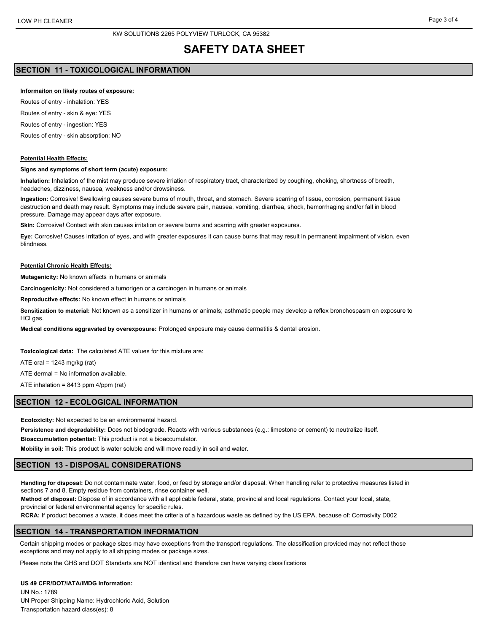## **SECTION 11 - TOXICOLOGICAL INFORMATION**

### **Informaiton on likely routes of exposure:**

Routes of entry - inhalation: YES

Routes of entry - skin & eye: YES

Routes of entry - ingestion: YES

Routes of entry - skin absorption: NO

### **Potential Health Effects:**

#### **Signs and symptoms of short term (acute) exposure:**

**Inhalation:** Inhalation of the mist may produce severe irriation of respiratory tract, characterized by coughing, choking, shortness of breath, headaches, dizziness, nausea, weakness and/or drowsiness.

**Ingestion:** Corrosive! Swallowing causes severe burns of mouth, throat, and stomach. Severe scarring of tissue, corrosion, permanent tissue destruction and death may result. Symptoms may include severe pain, nausea, vomiting, diarrhea, shock, hemorrhaging and/or fall in blood pressure. Damage may appear days after exposure.

**Skin:** Corrosive! Contact with skin causes irritation or severe burns and scarring with greater exposures.

**Eye:** Corrosive! Causes irritation of eyes, and with greater exposures it can cause burns that may result in permanent impairment of vision, even blindness.

#### **Potential Chronic Health Effects:**

**Mutagenicity:** No known effects in humans or animals

**Carcinogenicity:** Not considered a tumorigen or a carcinogen in humans or animals

**Reproductive effects:** No known effect in humans or animals

**Sensitization to material:** Not known as a sensitizer in humans or animals; asthmatic people may develop a reflex bronchospasm on exposure to HCl gas.

**Medical conditions aggravated by overexposure:** Prolonged exposure may cause dermatitis & dental erosion.

**Toxicological data:** The calculated ATE values for this mixture are:

ATE oral =  $1243$  mg/kg (rat)

ATE dermal = No information available.

ATE inhalation = 8413 ppm 4/ppm (rat)

### **SECTION 12 - ECOLOGICAL INFORMATION**

**Ecotoxicity:** Not expected to be an environmental hazard.

**Persistence and degradability:** Does not biodegrade. Reacts with various substances (e.g.: limestone or cement) to neutralize itself.

**Bioaccumulation potential:** This product is not a bioaccumulator.

**Mobility in soil:** This product is water soluble and will move readily in soil and water.

### **SECTION 13 - DISPOSAL CONSIDERATIONS**

**Handling for disposal:** Do not contaminate water, food, or feed by storage and/or disposal. When handling refer to protective measures listed in sections 7 and 8. Empty residue from containers, rinse container well.

**Method of disposal:** Dispose of in accordance with all applicable federal, state, provincial and local regulations. Contact your local, state, provincial or federal environmental agency for specific rules.

**RCRA:** If product becomes a waste, it does meet the criteria of a hazardous waste as defined by the US EPA, because of: Corrosivity D002

## **SECTION 14 - TRANSPORTATION INFORMATION**

Certain shipping modes or package sizes may have exceptions from the transport regulations. The classification provided may not reflect those exceptions and may not apply to all shipping modes or package sizes.

Please note the GHS and DOT Standarts are NOT identical and therefore can have varying classifications

### **US 49 CFR/DOT/IATA/IMDG Information:**

UN No.: 1789 UN Proper Shipping Name: Hydrochloric Acid, Solution Transportation hazard class(es): 8